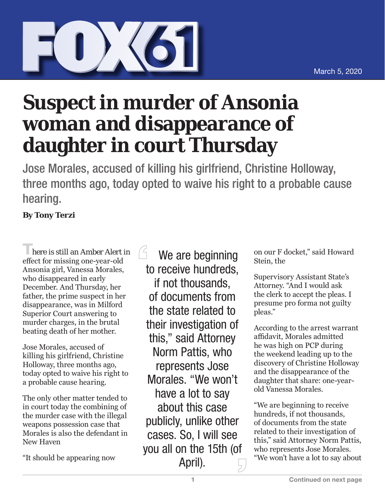## **Suspect in murder of Ansonia woman and disappearance of daughter in court Thursday**

Jose Morales, accused of killing his girlfriend, Christine Holloway, three months ago, today opted to waive his right to a probable cause hearing.

## **By Tony Terzi**

**There is still an Amber Alert in** effect for missing one-year-old Ansonia girl, Vanessa Morales, who disappeared in early December. And Thursday, her father, the prime suspect in her disappearance, was in Milford Superior Court answering to murder charges, in the brutal beating death of her mother.

Jose Morales, accused of killing his girlfriend, Christine Holloway, three months ago, today opted to waive his right to a probable cause hearing.

The only other matter tended to in court today the combining of the murder case with the illegal weapons possession case that Morales is also the defendant in New Haven

"It should be appearing now

 $6$  We are beginning to receive hundreds, if not thousands, of documents from the state related to their investigation of this," said Attorney Norm Pattis, who represents Jose Morales. "We won't have a lot to say about this case publicly, unlike other cases. So, I will see you all on the 15th (of April).

on our F docket," said Howard Stein, the

Supervisory Assistant State's Attorney. "And I would ask the clerk to accept the pleas. I presume pro forma not guilty pleas."

According to the arrest warrant affidavit, Morales admitted he was high on PCP during the weekend leading up to the discovery of Christine Holloway and the disappearance of the daughter that share: one-yearold Vanessa Morales.

"We are beginning to receive hundreds, if not thousands, of documents from the state related to their investigation of this," said Attorney Norm Pattis, who represents Jose Morales. "We won't have a lot to say about